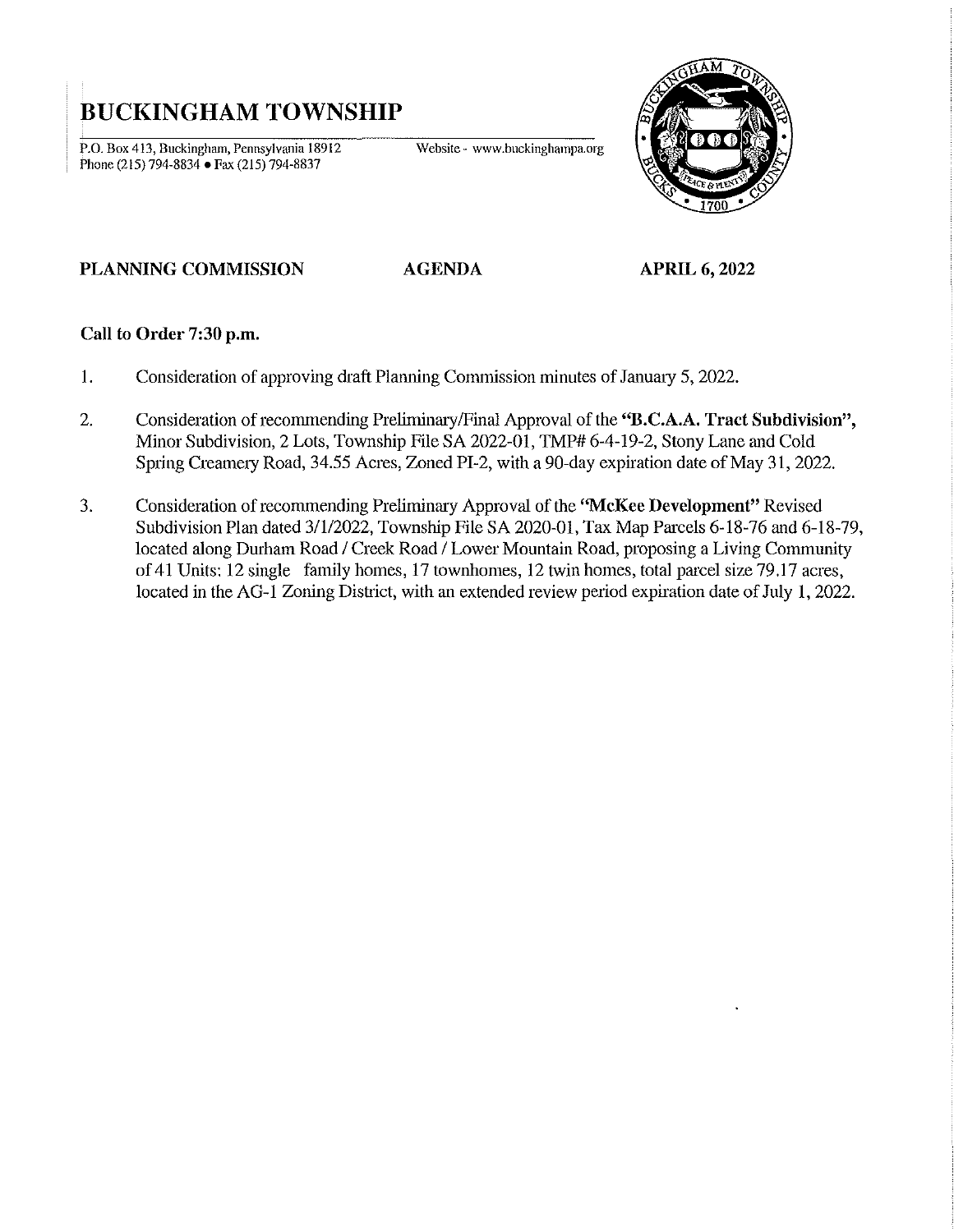## **BUCKINGHAM TOWNSHIP**

**P.o. Box 413, Buckingham, Pennsylvania 18912**  Phone (215) 794-8834 • Fax (215) 794-8837

**Website - www.buckinghampa.org** 



## **PLANNING COMMISSION**

**AGENDA APRIL 6, 2022** 

## Call to Order 7:30 p.m.

- I. Consideration of approving draft Planning Commission minutes of January 5, 2022.
- 2. Consideration of recommending Preliminary/Final Approval of the "**B.C.A.A. Tract Subdivision"**, Minor Subdivision, 2 Lots, Township File SA 2022-01, TMP# 6-4-19-2, Stony Lane and Cold Spring Creamery Road, 34.55 Acres, Zoned PI-2, with a 90-day expiration date of May 31, 2022.
- 3. Consideration of recommending Preliminary Approval of the "McKee Development" Revised Subdivision Plan dated 3/1/2022, Township File SA 2020-01, Tax Map Parcels 6-18-76 and 6-18-79, located along Durham Road / Creek Road / Lower Mountain Road, proposing a Living Community of 41 Units: 12 single family homes, 17 townhomes, 12 twin homes, total parcel size 79.17 acres, located in the AG-I Zoning District, with an extended review period expiration date of July **I,** 2022.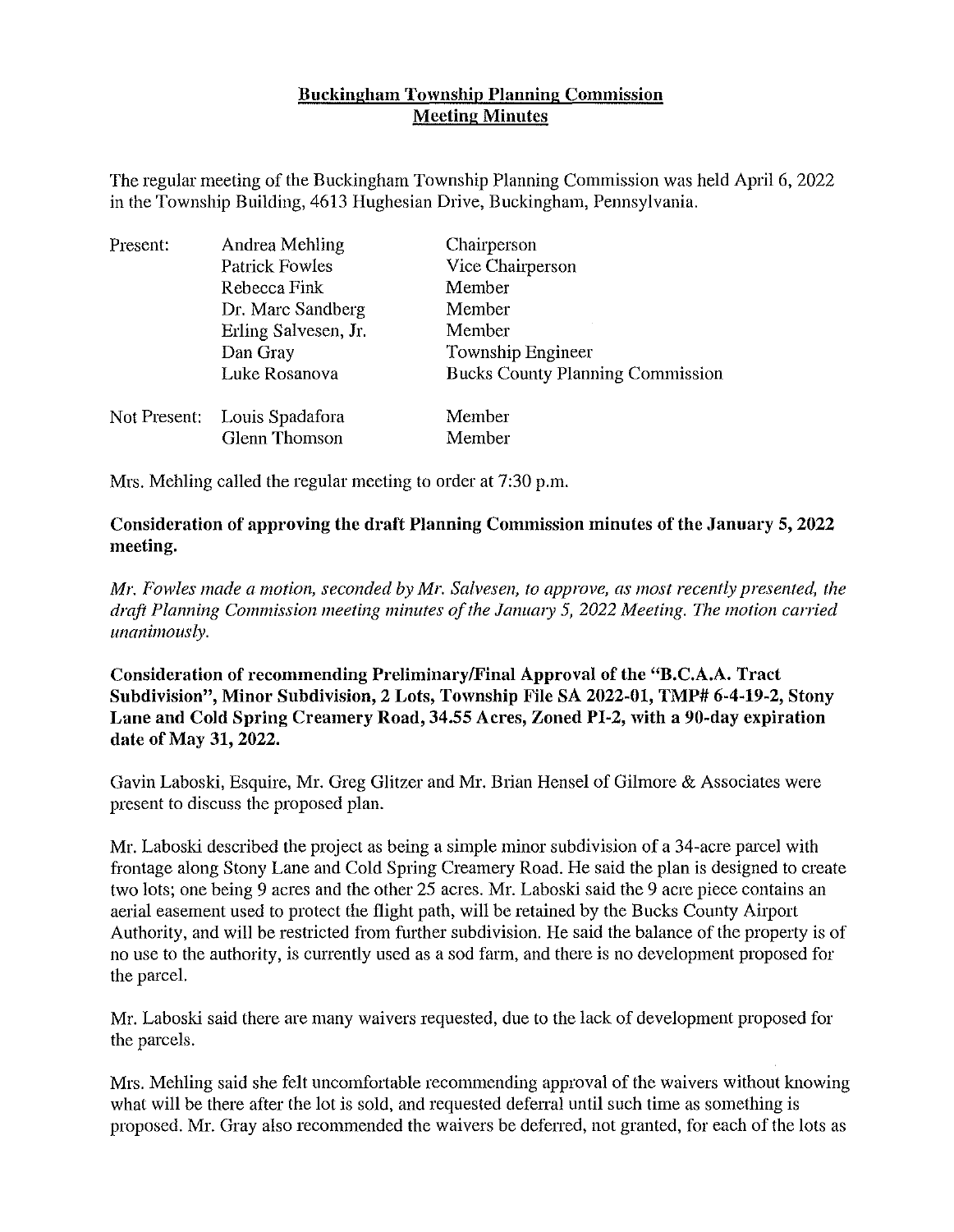## Buckingham Township Planning Commission Meeting Minutes

The regular meeting of the Buckingham Township Planning Commission was held April 6, 2022 in the Township Building, 4613 Hughesian Drive, Buckingham, Pennsylvania.

| Present:     | Andrea Mehling        | Chairperson                             |
|--------------|-----------------------|-----------------------------------------|
|              | <b>Patrick Fowles</b> | Vice Chairperson                        |
|              | Rebecca Fink          | Member                                  |
|              | Dr. Marc Sandberg     | Member                                  |
|              | Erling Salvesen, Jr.  | Member                                  |
|              | Dan Gray              | Township Engineer                       |
|              | Luke Rosanova         | <b>Bucks County Planning Commission</b> |
| Not Present: | Louis Spadafora       | Member                                  |
|              | Glenn Thomson         | Member                                  |

Mrs. Mehling called the regular meeting to order at 7:30 p.m.

Consideration of approving the draft Planning Commission minutes of the January 5, 2022 meeting.

*Mr. Fowles made a motion, seconded by Mr. Salvesen, to approve, as most recently presented, the*  draft Planning Commission meeting minutes of the January 5, 2022 Meeting. The motion carried *unanimously.* 

Consideration of recommending Preliminary/Final Approval of the "B.C.A.A. Tract Subdivision", Minor Subdivision, 2 Lots, Township File SA 2022-01, TMP# 6-4-19-2, Stony Lane and Cold Spring Creamery Road, 34.55 Acres, Zoned PI-2, with a 90-day expiration date of May 31, 2022.

Gavin Laboski, Esquire, Mr. Greg Glitzer and Mr. Brian Hensel of Gilmore & Associates were present to discuss the proposed plan.

Mr. Laboski described the project as being a simple minor subdivision of a 34-acre parcel with frontage along Stony Lane and Cold Spring Creamery Road. He said the plan is designed to create two lots; one being 9 acres and the other 25 acres. Mr. Laboski said the 9 acre piece contains an aerial easement used to protect the flight path, will be retained by the Bucks County Airport Authority, and will be restricted from further subdivision. He said the balance of the property is of no use to the authority, is currently used as a sod farm, and there is no development proposed for the parcel.

Mr. Laboski said there are many waivers requested, due to the lack of development proposed for the parcels.

Mrs. Mehling said she felt uncomfortable recommending approval of the waivers without knowing what will be there after the lot is sold, and requested deferral until such time as something is proposed. Mr. Gray also recommended the waivers be deferred, not granted, for each of the lots as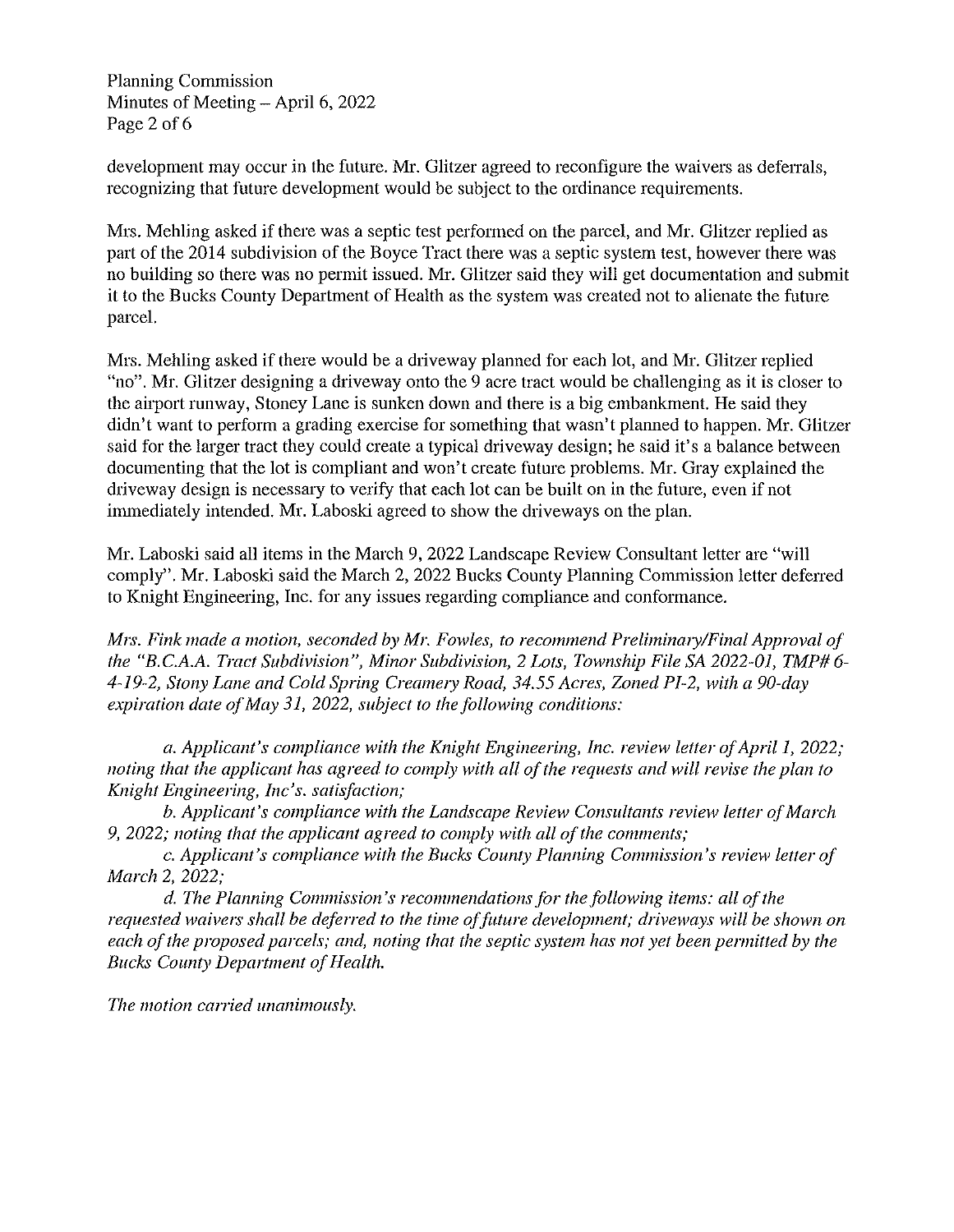Planning Commission Minutes of Meeting  $-$  April 6, 2022 Page 2 of 6

development may occur in the future. Mr. Glitzer agreed to reconfigure the waivers as deferrals, recognizing that future development would be subject to the ordinance requirements.

Mrs. Mehling asked if there was a septic test performed on the parcel, and Mr. Glitzer replied as part of the 2014 subdivision of the Boyce Tract there was a septic system test, however there was no building so there was no permit issued. Mr. Glitzer said they will get documentation and submit it to the Bucks County Department of Health as the system was created not to alienate the future parcel.

Mrs. Mehling asked if there would be a driveway planned for each lot, and Mr. Glitzer replied "no". Mr. Glitzer designing a driveway onto the 9 acre tract would be challenging as it is closer to the airport runway, Stoney Lane is sunken down and there is a big embankment. He said they didn't want to perform a grading exercise for something that wasn't planned to happen. Mr. Glitzer said for the larger tract they could create a typical driveway design; he said it's a balance between documenting that the lot is compliant and won't create future problems. Mr. Gray explained the driveway design is necessary to verify that each lot can be built on in the future, even if not immediately intended. Mr. Laboski agreed to show the driveways on the plan.

Mr. Laboski said all items in the March 9, 2022 Landscape Review Consultant letter are "will comply". Mr. Laboski said the March 2, 2022 Bucks County Planning Commission letter deferred to Knight Engineering, Inc. for any issues regarding compliance and conformance.

*Mrs. Fink made a motion, seconded by Mr. Fowles, to recommend Preliminary/Final Approval of the "B.C.A.A. Tract Subdivision", Minor Subdivision,* 2 *Lots, Township File SA 2022-01, TMP# 6- 4-19-2, Stony Lane and Cold Spring CreamelY Road,* 34.55 *Acres, Zoned PI-2, with a 90-day expiration date of May 31, 2022, subject to the following conditions:* 

*a. Applicant's compliance with the Knight Engineering, Inc. review letter of April 1, 2022; noting that the applicant has agreed to comply with all of the requests and will revise the plan to Knight Engineering, Inc's. satisfaction;* 

*b. Applicant's compliance with the Landscape Review Consultants review letter of March 9, 2022; noting that the applicant agreed to comply with all of the comments;* 

c. *Applicant's compliance with the Bucks County Planning Commission's review letter of March* 2, *2022;* 

d. *The Planning Commission's recommendations for the following items: all of the requested waivers shall be deferred to the time of future development; driveways will be shown on each of the proposed parcels; and, noting that the septic system has not yet been permitted by the Bucks County Department of Health.* 

*The motion carried unanimously.*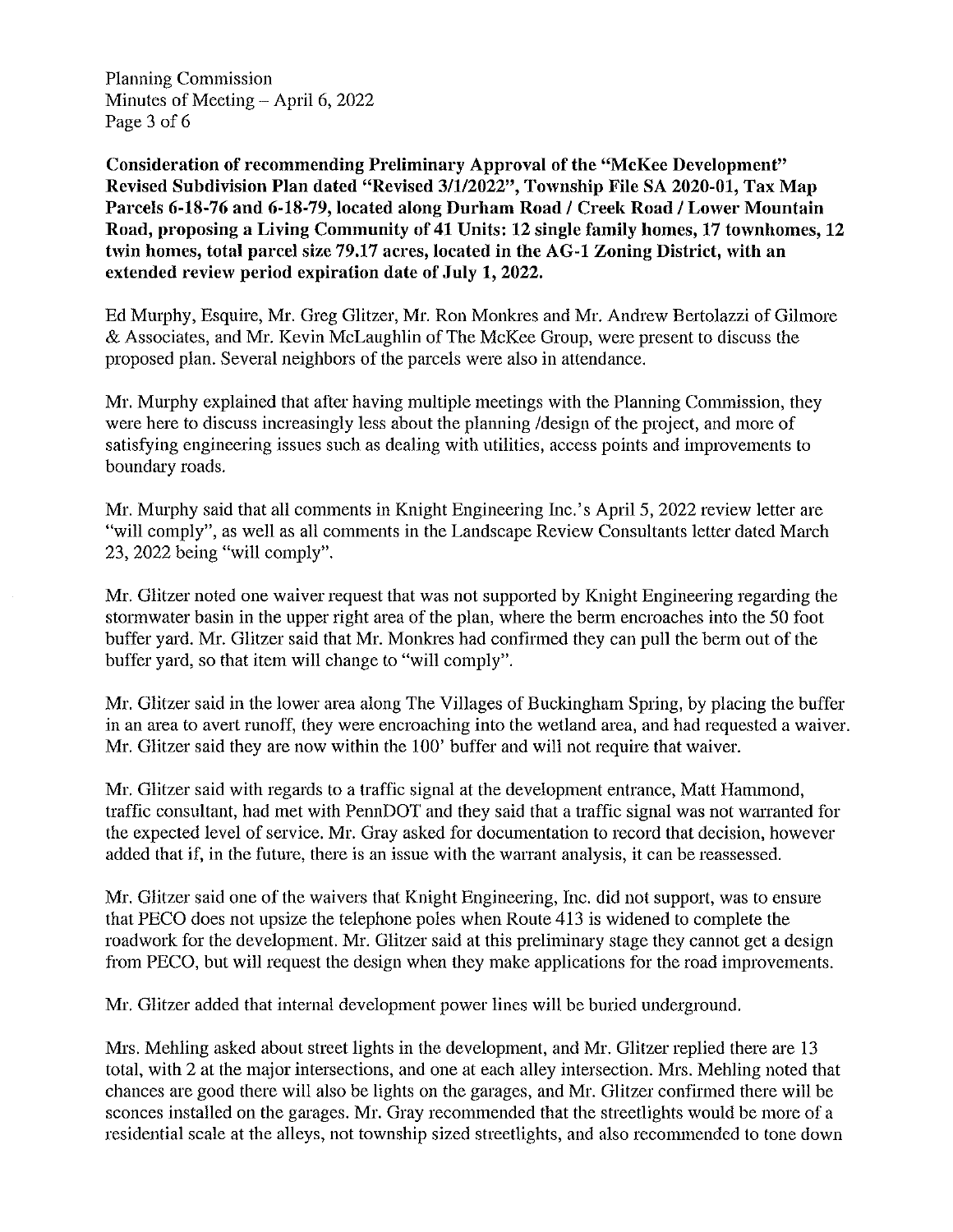Planning Commission Minutes of Meeting  $-$  April 6, 2022 Page 3 of 6

Consideration of recommending Preliminary Approval of the "McKee Development" Revised Subdivision Plan dated "Revised 3/1/2022", Township File SA 2020-01, Tax Map Parcels 6-18-76 and 6-18-79, located along Durham Road / Creek Road / Lower Mountain Road, proposing a Living Community of 41 Units: 12 single family homes, 17 townhomes, 12 twin homes, total parcel size 79.17 acres, located in the AG-l Zoning District, with an extended review period expiration date of July 1, 2022.

Ed Murphy, Esquire, Mr. Greg Glitzer, Mr. Ron Monkres and Mr. Andrew Bertolazzi of Gilmore & Associates, and Mr. Kevin McLaughlin of The McKee Group, were present to discuss the proposed plan. Several neighbors of the parcels were also in attendance.

Mr. Murphy explained that after having multiple meetings with the Planning Commission, they were here to discuss increasingly less about the planning /design of the project, and more of satisfying engineering issues such as dealing with utilities, access points and improvements to boundary roads.

Mr. Murphy said that all comments in Knight Engineering Inc.'s April 5, 2022 review letter are "will comply", as well as all comments in the Landscape Review Consultants letter dated March 23,2022 being "will comply".

Mr. Glitzer noted one waiver request that was not supported by Knight Engineering regarding the stormwater basin in the upper right area of the plan, where the berm encroaches into the 50 foot buffer yard. Mr. Glitzer said that Mr. Monkres had confirmed they can pull the berm out of the buffer yard, so that item will change to "will comply".

Mr. Glitzer said in the lower area along The Villages of Buckingham Spring, by placing the buffer in an area to avert runoff, they were encroaching into the wetland area, and had requested a waiver. Mr. Glitzer said they are now within the 100' buffer and will not require that waiver.

Mr. Glitzer said with regards to a traffic signal at the development entrance, Matt Hammond, traffic consultant, had met with PennDOT and they said that a traffic signal was not warranted for the expected level of service. Mr. Gray asked for documentation to record that decision, however added that if, in the future, there is an issue with the warrant analysis, it can be reassessed.

Mr. Glitzer said one of the waivers that Knight Engineering, Inc. did not support, was to ensure that PECO does not upsize the telephone poles when Route 413 is widened to complete the roadwork for the development. Mr. Glitzer said at this preliminary stage they cannot get a design from PECO, but will request the design when they make applications for the road improvements.

Mr. Glitzer added that internal development power lines will be buried underground.

Mrs. Mehling asked about street lights in the development, and Mr. Glitzer replied there are 13 total, with 2 at the major intersections, and one at each alley intersection. Mrs. Mehling noted that chances are good there will also be lights on the garages, and Mr. Glitzer confirmed there will be sconces installed on the garages. Mr. Gray recommended that the streetlights would be more of a residential scale at the alleys, not township sized streetlights, and also recommended to tone down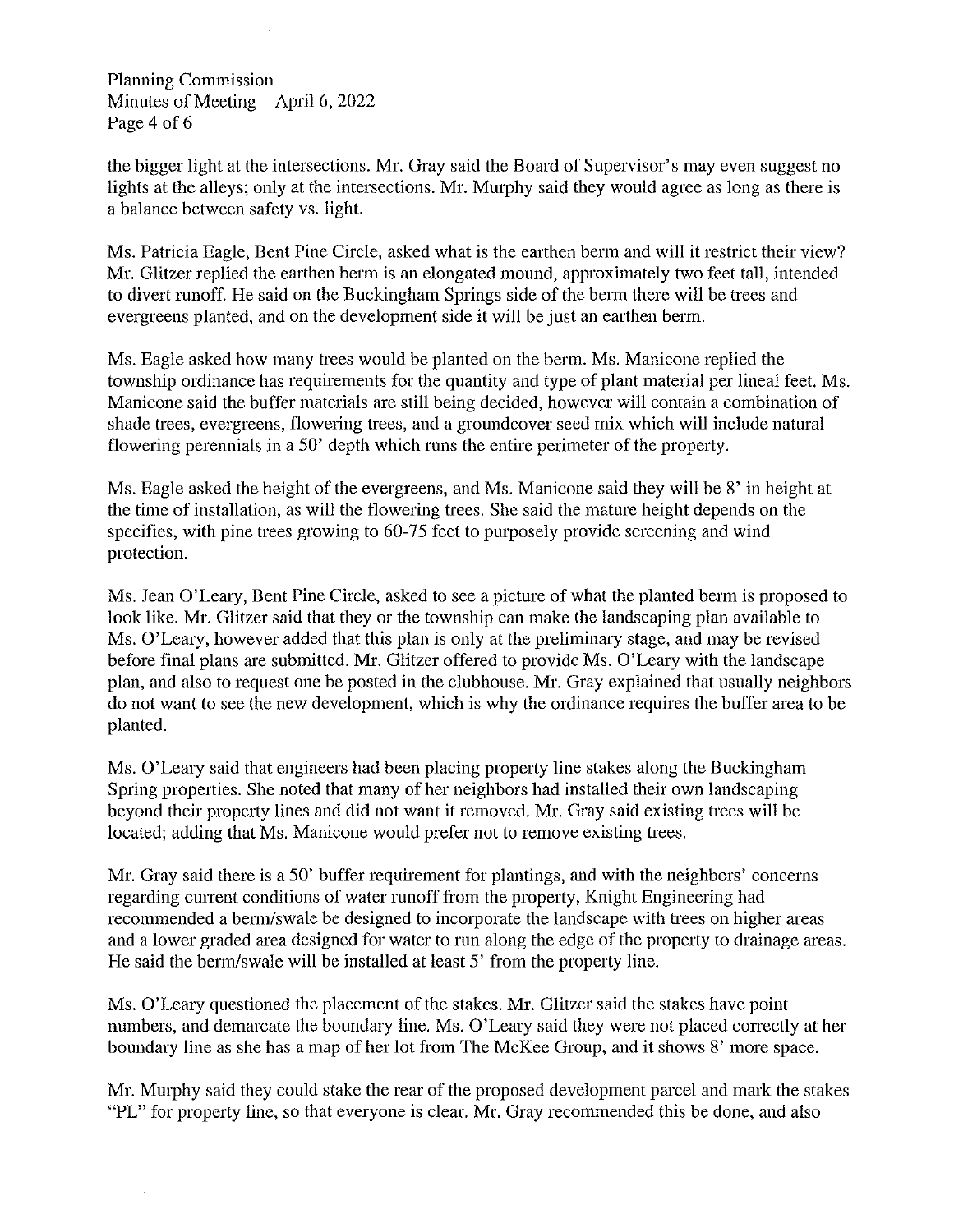Planning Commission Minutes of Meeting  $-$  April 6, 2022 Page 4 of 6

the bigger light at the intersections. Mr. Gray said the Board of Supervisor's may even suggest no lights at the alleys; only at the intersections. Mr. Murphy said they would agree as long as there is a balance between safety vs. light.

Ms. Patricia Eagle, Bent Pine Circle, asked what is the earthen berm and will it restrict their view? Mr. Glitzer replied the earthen berm is an elongated mound, approximately two feet tall, intended to divert runoff. He said on the Buckingham Springs side of the berm there will be trees and evergreens planted, and on the development side it will be just an earthen berm.

Ms. Eagle asked how many trees would be planted on the berm. Ms. Manicone replied the township ordinance has requirements for the quantity and type of plant material per lineal feet. Ms. Manicone said the buffer materials are still being decided, however will contain a eombination of shade trees, evergreens, flowering trees, and a groundcover seed mix which will include natural flowering perennials in a 50' depth which runs the entire perimeter of the property.

Ms. Eagle asked the height of the evergreens, and Ms. Manicone said they will be 8' in height at the time of installation, as will the flowering trees. She said the mature height depends on the specifies, with pine trees growing to 60-75 feet to purposely provide screening and wind protection.

Ms. Jean O'Leary, Bent Pine Circle, asked to see a pieture of what the planted berm is proposed to look like. Mr. Glitzer said that they or the township can make the landscaping plan available to Ms. O'Leary, however added that this plan is only at the preliminary stage, and may be revised before final plans are submitted. Mr. Glitzer offered to provide Ms. O'Leary with the landscape plan, and also to request one be posted in the clubhouse. Mr. Gray explained that usually neighbors do not want to see the new development, which is why the ordinance requires the buffer area to be planted.

Ms. O'Leary said that engineers had been placing property line stakes along the Buckingham Spring properties. She noted that many of her neighbors had installed their own landscaping beyond their property lines and did not want it removed. Mr. Gray said existing trees will be located; adding that Ms. Manicone would prefer not to remove existing trees.

Mr. Gray said there is a 50' buffer requirement for plantings, and with the neighbors' concerns regarding current conditions of water runoff from the property, Knight Engineering had recommended a berm/swale be designed to incorporate the landscape with trees on higher areas and a lower graded area designed for water to run along the edge of the property to drainage areas. He said the berm/swale will be installed at least 5' from the property line.

Ms. O'Leary questioned the placement of the stakes. Mr. Glitzer said the stakes have point numbers, and demarcate the boundary line. Ms. O'Leary said they were not placed eorrectly at her boundary line as she has a map of her lot from The McKee Group, and it shows 8' more space.

Mr. Murphy said they could stake the rear of the proposed development parcel and mark the stakes "PL" for property line, so that everyone is clear. Mr. Gray recommended this be done, and also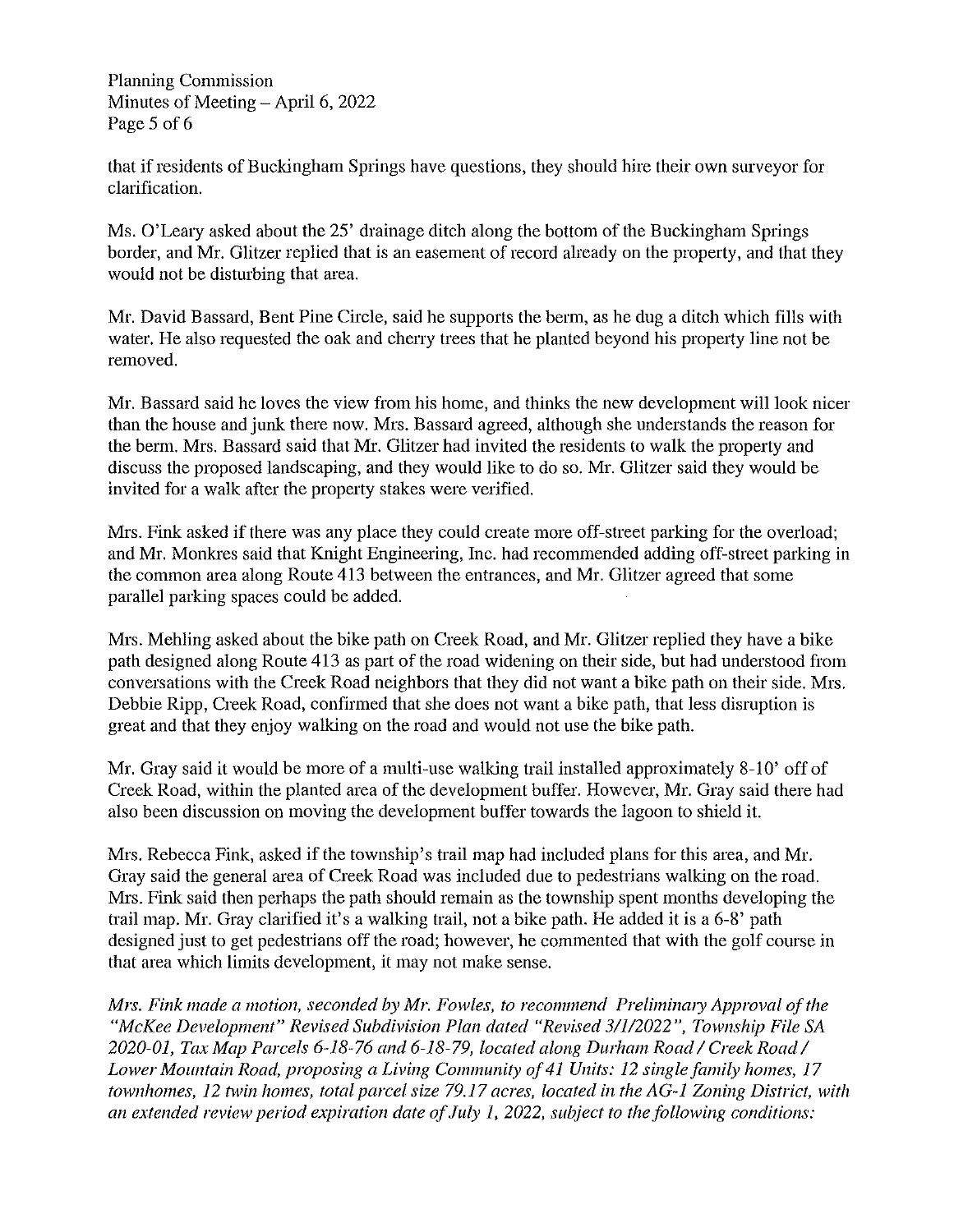Planning Commission Minutes of Meeting – April 6, 2022 Page 5 of 6

that if residents of Buckingham Springs have questions, they should hire their own surveyor for clarification.

Ms. O'Leary asked about the 25' drainage ditch along the bottom of the Buckingham Springs border, and Mr. Glitzer replied that is an easement of record already on the property, and that they would not be disturbing that area.

Mr. David Bassard, Bent Pine Circle, said he supports the berm, as he dug a ditch which fills with water. He also requested the oak and cherry trees that he planted beyond his property line not be removed.

Mr. Bassard said he loves the view from his home, and thinks the new development will look nicer than the house and junk there now. Mrs. Bassard agreed, although she understands the reason for the berm. Mrs. Bassard said that Mr. Glitzer had invited the residents to walk the property and discuss the proposed landscaping, and they would like to do so. Mr. Glitzer said they would be invited for a walk after the property stakes were verified.

Mrs. Fink asked if there was any place they could create more off-street parking for the overload; and Mr. Monkres said that Knight Engineering, Inc. had recommended adding off-street parking in the common area along Route 413 between the entrances, and Mr. Glitzer agreed that some parallel parking spaces could be added.

Mrs. Mehling asked about the bike path on Creek Road, and Mr. Glitzer replied they have a bike path designed along Route 413 as part of the road widening on their side, but had understood from conversations with the Creek Road neighbors that they did not want a bike path on their side. Mrs. Debbie Ripp, Creek Road, confirmed that she does not want a bike path, that less disruption is great and that they enjoy walking on the road and would not use the bike path.

Mr. Gray said it would be more of a multi-use walking trail installed approximately 8-10' off of Creek Road, within the planted area of the development buffer. However, Mr. Gray said there had also been discussion on moving the development buffer towards the lagoon to shield it.

Mrs. Rebecca Fink, asked if the township's trail map had included plans for this area, and Mr. Gray said the general area of Creek Road was included due to pedestrians walking on the road. Mrs. Fink said then perhaps the path should remain as the township spent months developing the trail map. Mr. Gray clarified it's a walking trail, not a bike path. He added it is a 6-8' path designed just to get pedestrians off the road; however, he commented that with the golf course in that area which limits development, it may not make sense.

*Mrs. Fink made a motion, seconded by Mr. Fowles, to recommend Preliminary Approval of the "McKee Development" Revised Subdivision Plan dated "Revised 31112022", Township File SA 2020-01, Tax Map Parcels* 6-18-76 *and* 6-18-79, *located along Durham Road 1 Creek Road 1 Lower MOllntain Road, proposing a Living Community of41 Units:* 12 *single family homes, 17 town homes,* 12 *twin homes, total parcel size* 79.17 *acres, located in the AG-1 Zoning District, with an extended review period expiration date of July* 1, *2022, subject to the following conditions:*